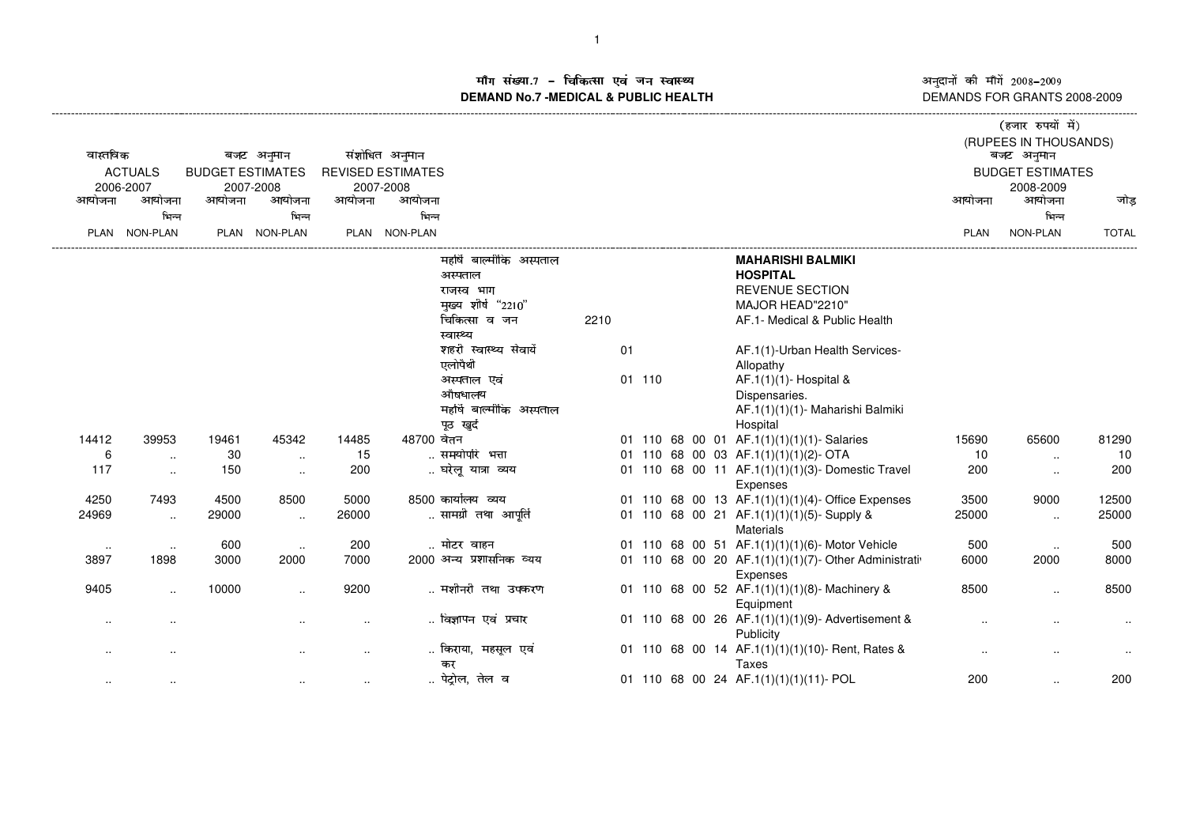म संख्या.7 – चिकित्सा एवं जन स्वास्थ्य<br>IAND No.7 -MEDICAL & DURLIC HEALTH **DEMAND No.7 -MEDICAL & PUBLIC HEALTH**

----------------------------------------------------------------------------------------------------------------------------------------------------------------------------------------------------------------------------------------------------------------------------------------------

अनुदानों की माँगें 2008–2009 DEMANDS FOR GRANTS 2008-2009

|                                           |                |           |                          |           |               |                            |      | (हजार रुपयों में)<br>(RUPEES IN THOUSANDS)<br>बजट अनुमान<br><b>BUDGET ESTIMATES</b> |        |  |  |                                                                |             |                     |              |
|-------------------------------------------|----------------|-----------|--------------------------|-----------|---------------|----------------------------|------|-------------------------------------------------------------------------------------|--------|--|--|----------------------------------------------------------------|-------------|---------------------|--------------|
| वास्तविक<br>संशोधित अनुमान<br>बजट अनुमान  |                |           |                          |           |               |                            |      |                                                                                     |        |  |  |                                                                |             |                     |              |
| <b>ACTUALS</b><br><b>BUDGET ESTIMATES</b> |                |           | <b>REVISED ESTIMATES</b> |           |               |                            |      |                                                                                     |        |  |  |                                                                |             |                     |              |
|                                           | 2006-2007      | 2007-2008 |                          | 2007-2008 |               |                            |      |                                                                                     |        |  |  |                                                                |             |                     |              |
| आयोजना                                    | आयोजना         | आयोजना    | आयोजना                   | आयोजना    | आयोजना        |                            |      |                                                                                     |        |  |  |                                                                | आयोजना      | 2008-2009<br>आयोजना | जोड़         |
|                                           | भिन्न          |           | भिन्न                    |           | भिन्न         |                            |      |                                                                                     |        |  |  |                                                                |             | भिन्न               |              |
|                                           | PLAN NON-PLAN  |           | PLAN NON-PLAN            |           | PLAN NON-PLAN |                            |      |                                                                                     |        |  |  |                                                                | <b>PLAN</b> | NON-PLAN            | <b>TOTAL</b> |
|                                           |                |           |                          |           |               | महर्षि बाल्मीकि अस्पताल    |      |                                                                                     |        |  |  | <b>MAHARISHI BALMIKI</b>                                       |             |                     |              |
|                                           |                |           |                          |           |               | अस्पताल                    |      |                                                                                     |        |  |  | <b>HOSPITAL</b>                                                |             |                     |              |
|                                           |                |           |                          |           |               | राजस्व भाग                 |      |                                                                                     |        |  |  | <b>REVENUE SECTION</b>                                         |             |                     |              |
|                                           |                |           |                          |           |               | मुख्य शीर्ष "2210"         |      |                                                                                     |        |  |  | MAJOR HEAD"2210"                                               |             |                     |              |
|                                           |                |           |                          |           |               | चिकित्सा व जन<br>स्वास्थ्य | 2210 |                                                                                     |        |  |  | AF.1- Medical & Public Health                                  |             |                     |              |
|                                           |                |           |                          |           |               | शहरी स्वास्थ्य सेवायेँ     |      | 01                                                                                  |        |  |  | AF.1(1)-Urban Health Services-                                 |             |                     |              |
|                                           |                |           |                          |           |               | एलोपैथी                    |      |                                                                                     |        |  |  | Allopathy                                                      |             |                     |              |
|                                           |                |           |                          |           |               | अस्पताल एवं                |      |                                                                                     | 01 110 |  |  | AF.1(1)(1)- Hospital &                                         |             |                     |              |
|                                           |                |           |                          |           |               | औषधालय                     |      |                                                                                     |        |  |  | Dispensaries.                                                  |             |                     |              |
|                                           |                |           |                          |           |               | महर्षि बाल्मीकि अस्पताल    |      |                                                                                     |        |  |  | AF.1(1)(1)(1)- Maharishi Balmiki                               |             |                     |              |
|                                           |                |           |                          |           |               | पूठ खुर्द                  |      |                                                                                     |        |  |  | Hospital                                                       |             |                     |              |
| 14412                                     | 39953          | 19461     | 45342                    | 14485     | 48700 वेतन    |                            |      |                                                                                     |        |  |  | 01 110 68 00 01 AF.1(1)(1)(1)(1)- Salaries                     | 15690       | 65600               | 81290        |
| 6                                         | $\ldots$       | 30        | $\sim$                   | 15        |               | समयोपरि भत्ता              |      |                                                                                     |        |  |  | 01 110 68 00 03 AF.1(1)(1)(1)(2)- OTA                          | 10          | $\ddotsc$           | 10           |
| 117                                       | $\cdot$ .      | 150       | $\sim$                   | 200       |               | घरेलू यात्रा व्यय          |      |                                                                                     |        |  |  | 01 110 68 00 11 AF.1(1)(1)(1)(3)- Domestic Travel<br>Expenses  | 200         | $\ldots$            | 200          |
| 4250                                      | 7493           | 4500      | 8500                     | 5000      |               | 8500 कार्यालय व्यय         |      |                                                                                     |        |  |  | 01 110 68 00 13 AF.1(1)(1)(1)(4)- Office Expenses              | 3500        | 9000                | 12500        |
| 24969                                     | $\cdot$ .      | 29000     | $\sim$                   | 26000     |               | सामग्री तथा आपूर्ति        |      |                                                                                     |        |  |  | 01 110 68 00 21 AF.1(1)(1)(1)(5)-Supply &<br><b>Materials</b>  | 25000       | $\ddotsc$           | 25000        |
|                                           |                | 600       |                          | 200       |               | मोटर वाहन                  |      |                                                                                     |        |  |  | 01 110 68 00 51 AF.1(1)(1)(1)(6)- Motor Vehicle                | 500         |                     | 500          |
| $\sim$<br>3897                            | $\sim$<br>1898 | 3000      | $\sim$<br>2000           | 7000      |               | 2000 अन्य प्रशासनिक व्यय   |      |                                                                                     |        |  |  | 01 110 68 00 20 AF.1(1)(1)(1)(7)- Other Administrating         | 6000        | $\cdot$ .<br>2000   | 8000         |
|                                           |                |           |                          |           |               |                            |      |                                                                                     |        |  |  | Expenses                                                       |             |                     |              |
| 9405                                      | $\cdot$ .      | 10000     | $\ddotsc$                | 9200      |               | मशीनरी तथा उपकरण           |      |                                                                                     |        |  |  | 01 110 68 00 52 AF.1(1)(1)(1)(8)- Machinery &                  | 8500        | $\ddotsc$           | 8500         |
|                                           |                |           |                          |           |               |                            |      |                                                                                     |        |  |  | Equipment                                                      |             |                     |              |
|                                           |                |           | $\ddot{\phantom{a}}$     | $\ddotsc$ |               | विज्ञापन एवं प्रचार        |      |                                                                                     |        |  |  | 01 110 68 00 26 AF.1(1)(1)(1)(9)- Advertisement &<br>Publicity |             |                     |              |
| $\cdot$ .                                 |                |           |                          | $\ddotsc$ |               | किराया, महसूल एवं          |      |                                                                                     |        |  |  | 01 110 68 00 14 AF.1(1)(1)(1)(10)- Rent, Rates &               | $\ddotsc$   | $\ddotsc$           |              |
|                                           |                |           |                          |           |               | कर                         |      |                                                                                     |        |  |  | Taxes                                                          |             |                     |              |
| $\ddotsc$                                 |                |           |                          | $\ddotsc$ |               | पेट्रोल, तेल व             |      |                                                                                     |        |  |  | 01 110 68 00 24 AF.1(1)(1)(1)(11)- POL                         | 200         | $\ddotsc$           | 200          |
|                                           |                |           |                          |           |               |                            |      |                                                                                     |        |  |  |                                                                |             |                     |              |